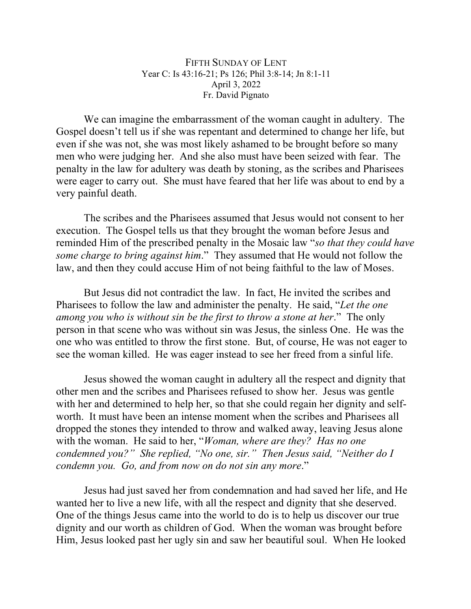FIFTH SUNDAY OF LENT Year C: Is 43:16-21; Ps 126; Phil 3:8-14; Jn 8:1-11 April 3, 2022 Fr. David Pignato

We can imagine the embarrassment of the woman caught in adultery. The Gospel doesn't tell us if she was repentant and determined to change her life, but even if she was not, she was most likely ashamed to be brought before so many men who were judging her. And she also must have been seized with fear. The penalty in the law for adultery was death by stoning, as the scribes and Pharisees were eager to carry out. She must have feared that her life was about to end by a very painful death.

The scribes and the Pharisees assumed that Jesus would not consent to her execution. The Gospel tells us that they brought the woman before Jesus and reminded Him of the prescribed penalty in the Mosaic law "*so that they could have some charge to bring against him*." They assumed that He would not follow the law, and then they could accuse Him of not being faithful to the law of Moses.

But Jesus did not contradict the law. In fact, He invited the scribes and Pharisees to follow the law and administer the penalty. He said, "*Let the one among you who is without sin be the first to throw a stone at her*." The only person in that scene who was without sin was Jesus, the sinless One. He was the one who was entitled to throw the first stone. But, of course, He was not eager to see the woman killed. He was eager instead to see her freed from a sinful life.

Jesus showed the woman caught in adultery all the respect and dignity that other men and the scribes and Pharisees refused to show her. Jesus was gentle with her and determined to help her, so that she could regain her dignity and selfworth. It must have been an intense moment when the scribes and Pharisees all dropped the stones they intended to throw and walked away, leaving Jesus alone with the woman. He said to her, "*Woman, where are they? Has no one condemned you?" She replied, "No one, sir." Then Jesus said, "Neither do I condemn you. Go, and from now on do not sin any more*."

Jesus had just saved her from condemnation and had saved her life, and He wanted her to live a new life, with all the respect and dignity that she deserved. One of the things Jesus came into the world to do is to help us discover our true dignity and our worth as children of God. When the woman was brought before Him, Jesus looked past her ugly sin and saw her beautiful soul. When He looked